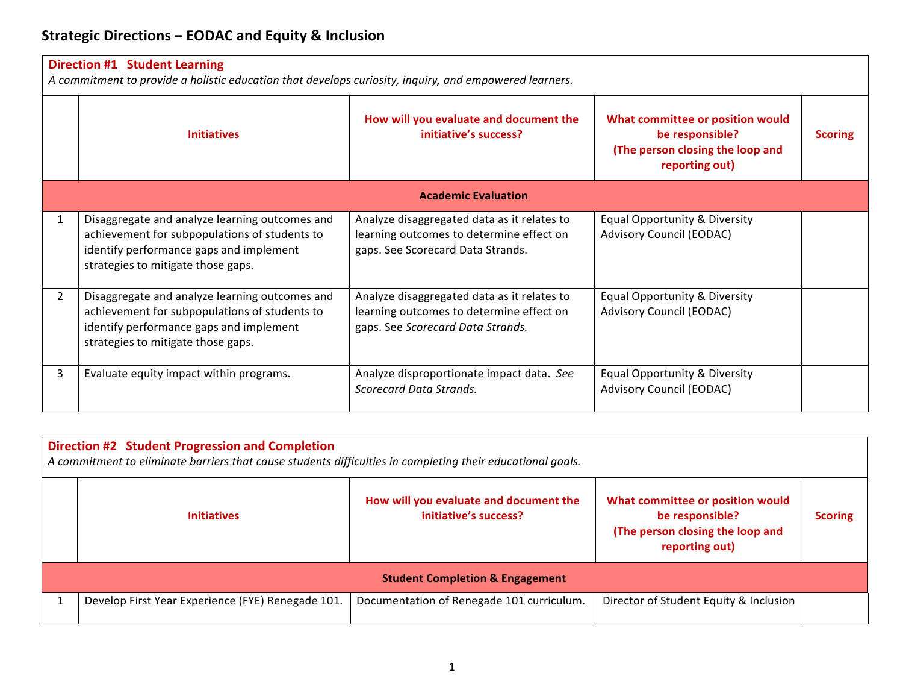| <b>Direction #1 Student Learning</b><br>A commitment to provide a holistic education that develops curiosity, inquiry, and empowered learners. |                                                                                                                                                                                  |                                                                                                                              |                                                                                                           |                |  |
|------------------------------------------------------------------------------------------------------------------------------------------------|----------------------------------------------------------------------------------------------------------------------------------------------------------------------------------|------------------------------------------------------------------------------------------------------------------------------|-----------------------------------------------------------------------------------------------------------|----------------|--|
|                                                                                                                                                | <b>Initiatives</b>                                                                                                                                                               | How will you evaluate and document the<br>initiative's success?                                                              | What committee or position would<br>be responsible?<br>(The person closing the loop and<br>reporting out) | <b>Scoring</b> |  |
|                                                                                                                                                | <b>Academic Evaluation</b>                                                                                                                                                       |                                                                                                                              |                                                                                                           |                |  |
| 1                                                                                                                                              | Disaggregate and analyze learning outcomes and<br>achievement for subpopulations of students to<br>identify performance gaps and implement<br>strategies to mitigate those gaps. | Analyze disaggregated data as it relates to<br>learning outcomes to determine effect on<br>gaps. See Scorecard Data Strands. | Equal Opportunity & Diversity<br><b>Advisory Council (EODAC)</b>                                          |                |  |
| $\overline{2}$                                                                                                                                 | Disaggregate and analyze learning outcomes and<br>achievement for subpopulations of students to<br>identify performance gaps and implement<br>strategies to mitigate those gaps. | Analyze disaggregated data as it relates to<br>learning outcomes to determine effect on<br>gaps. See Scorecard Data Strands. | Equal Opportunity & Diversity<br><b>Advisory Council (EODAC)</b>                                          |                |  |
| $\mathbf{3}$                                                                                                                                   | Evaluate equity impact within programs.                                                                                                                                          | Analyze disproportionate impact data. See<br>Scorecard Data Strands.                                                         | Equal Opportunity & Diversity<br><b>Advisory Council (EODAC)</b>                                          |                |  |

| <b>Direction #2 Student Progression and Completion</b><br>A commitment to eliminate barriers that cause students difficulties in completing their educational goals. |                                                   |                                                                 |                                                                                                           |                |  |
|----------------------------------------------------------------------------------------------------------------------------------------------------------------------|---------------------------------------------------|-----------------------------------------------------------------|-----------------------------------------------------------------------------------------------------------|----------------|--|
|                                                                                                                                                                      | <b>Initiatives</b>                                | How will you evaluate and document the<br>initiative's success? | What committee or position would<br>be responsible?<br>(The person closing the loop and<br>reporting out) | <b>Scoring</b> |  |
| <b>Student Completion &amp; Engagement</b>                                                                                                                           |                                                   |                                                                 |                                                                                                           |                |  |
|                                                                                                                                                                      | Develop First Year Experience (FYE) Renegade 101. | Documentation of Renegade 101 curriculum.                       | Director of Student Equity & Inclusion                                                                    |                |  |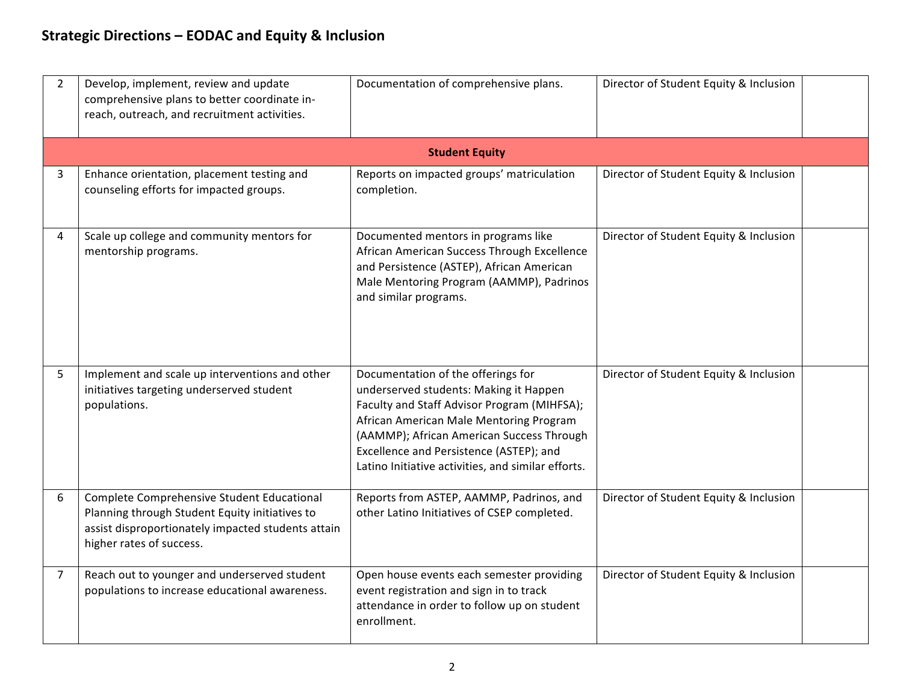## **Strategic Directions – EODAC and Equity & Inclusion**

| $\overline{2}$ | Develop, implement, review and update<br>comprehensive plans to better coordinate in-<br>reach, outreach, and recruitment activities.                                          | Documentation of comprehensive plans.                                                                                                                                                                                                                                                                                | Director of Student Equity & Inclusion |
|----------------|--------------------------------------------------------------------------------------------------------------------------------------------------------------------------------|----------------------------------------------------------------------------------------------------------------------------------------------------------------------------------------------------------------------------------------------------------------------------------------------------------------------|----------------------------------------|
|                |                                                                                                                                                                                | <b>Student Equity</b>                                                                                                                                                                                                                                                                                                |                                        |
| 3              | Enhance orientation, placement testing and<br>counseling efforts for impacted groups.                                                                                          | Reports on impacted groups' matriculation<br>completion.                                                                                                                                                                                                                                                             | Director of Student Equity & Inclusion |
| 4              | Scale up college and community mentors for<br>mentorship programs.                                                                                                             | Documented mentors in programs like<br>African American Success Through Excellence<br>and Persistence (ASTEP), African American<br>Male Mentoring Program (AAMMP), Padrinos<br>and similar programs.                                                                                                                 | Director of Student Equity & Inclusion |
| 5 <sup>1</sup> | Implement and scale up interventions and other<br>initiatives targeting underserved student<br>populations.                                                                    | Documentation of the offerings for<br>underserved students: Making it Happen<br>Faculty and Staff Advisor Program (MIHFSA);<br>African American Male Mentoring Program<br>(AAMMP); African American Success Through<br>Excellence and Persistence (ASTEP); and<br>Latino Initiative activities, and similar efforts. | Director of Student Equity & Inclusion |
| 6              | Complete Comprehensive Student Educational<br>Planning through Student Equity initiatives to<br>assist disproportionately impacted students attain<br>higher rates of success. | Reports from ASTEP, AAMMP, Padrinos, and<br>other Latino Initiatives of CSEP completed.                                                                                                                                                                                                                              | Director of Student Equity & Inclusion |
| $\overline{7}$ | Reach out to younger and underserved student<br>populations to increase educational awareness.                                                                                 | Open house events each semester providing<br>event registration and sign in to track<br>attendance in order to follow up on student<br>enrollment.                                                                                                                                                                   | Director of Student Equity & Inclusion |